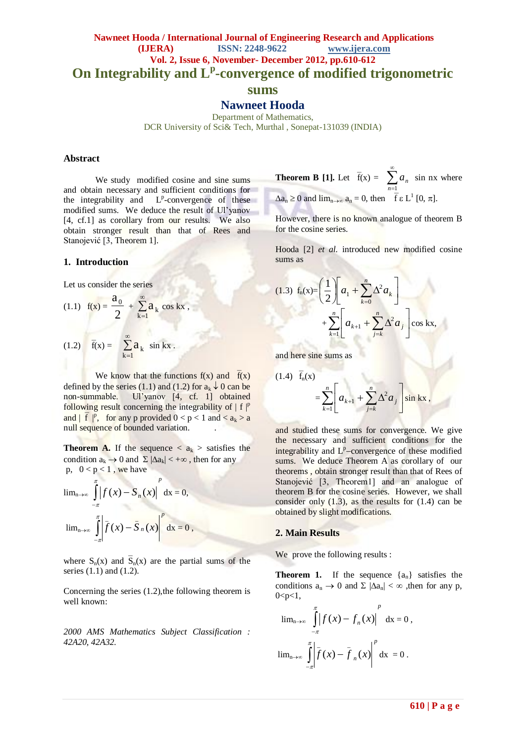## **Nawneet Hooda / International Journal of Engineering Research and Applications (IJERA) ISSN: 2248-9622 www.ijera.com Vol. 2, Issue 6, November- December 2012, pp.610-612 On Integrability and L<sup>p</sup> -convergence of modified trigonometric sums**

**Nawneet Hooda**

Department of Mathematics,

DCR University of Sci& Tech, Murthal , Sonepat-131039 (INDIA)

## **Abstract**

We study modified cosine and sine sums and obtain necessary and sufficient conditions for the integrability and L<sup>p</sup>-convergence of these modified sums. We deduce the result of Ul'yanov [4, cf.1] as corollary from our results. We also obtain stronger result than that of Rees and Stanojević [3, Theorem 1].

## **1. Introduction**

Let us consider the series

(1.1)  $f(x) = \frac{1}{2}$  $\frac{a_0}{2} + \sum_{0}^{\infty}$  $\sum_{k=1} a_k \cos kx$ , (1.2)  $\overline{f}(x) = \sum_{n=1}^{\infty}$  $\sum_{k=1}^{\infty} a_k \sin kx$ .

We know that the functions  $f(x)$  and  $f(x)$ defined by the series (1.1) and (1.2) for  $a_k \downarrow 0$  can be non-summable. Ul'yanov [4, cf. 1] obtained following result concerning the integrability of  $| f |^{p}$ and  $\left|\int \overline{f}\right|^p$ , for any p provided  $0 < p < 1$  and  $\le a_k > a$ null sequence of bounded variation.

**Theorem A.** If the sequence  $\langle a_k \rangle$  satisfies the condition  $a_k \to 0$  and  $\Sigma |\Delta a_k| < +\infty$ , then for any p,  $0 < p < 1$ , we have

$$
\lim_{n\to\infty}\int_{-\pi}^{\pi}\left|f(x)-S_n(x)\right|^p dx=0,
$$
  

$$
\lim_{n\to\infty}\int_{-\pi}^{\pi}\left|f(x)-\bar{S}_n(x)\right|^p dx=0,
$$

where  $S_n(x)$  and  $\overline{S}_n(x)$  are the partial sums of the series (1.1) and (1.2).

Concerning the series  $(1.2)$ , the following theorem is well known:

*2000 AMS Mathematics Subject Classification : 42A20, 42A32.*

**Theorem B [1]. Let** 
$$
\bar{f}(x) = \sum_{n=1}^{\infty} a_n \sin nx
$$
 where  
 $\Delta a_n \ge 0$  and  $\lim_{n \to \infty} a_n = 0$ , then  $\bar{f} \in L^1 [0, \pi]$ .

However, there is no known analogue of theorem B for the cosine series.

Hooda [2] *et al.* introduced new modified cosine sums as

(1.3) 
$$
f_n(x) = \left(\frac{1}{2}\right) \left[a_1 + \sum_{k=0}^n \Delta^2 a_k\right] + \sum_{k=1}^n \left[a_{k+1} + \sum_{j=k}^n \Delta^2 a_j\right] \cos kx,
$$

and here sine sums as

 $(1.4)$ 

(1.4) 
$$
f_n(x)
$$
  
=  $\sum_{k=1}^n \left[ a_{k+1} + \sum_{j=k}^n \Delta^2 a_j \right] \sin kx$ ,

and studied these sums for convergence. We give the necessary and sufficient conditions for the integrability and  $L^p$ -convergence of these modified sums. We deduce Theorem A as corollary of our theorems , obtain stronger result than that of Rees of Stanojević [3, Theorem1] and an analogue of theorem B for the cosine series. However, we shall consider only  $(1.3)$ , as the results for  $(1.4)$  can be obtained by slight modifications.

### **2. Main Results**

We prove the following results :

**Theorem 1.** If the sequence  $\{a_n\}$  satisfies the conditions  $a_n \to 0$  and  $\Sigma$   $|\Delta a_n| < \infty$ , then for any p,  $0 < p < 1$ ,

$$
\lim_{n \to \infty} \int_{-\pi}^{\pi} \left| f(x) - f_n(x) \right|^p dx = 0,
$$
  

$$
\lim_{n \to \infty} \int_{-\pi}^{\pi} \left| \overline{f}(x) - \overline{f}_n(x) \right|^p dx = 0.
$$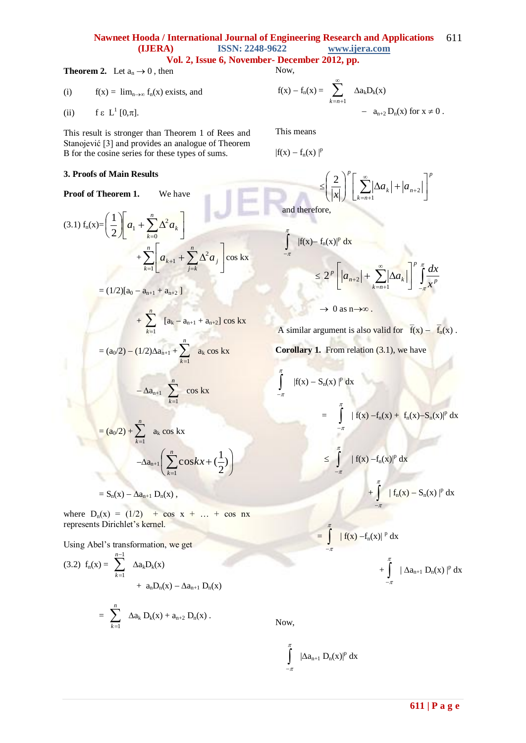#### **Nawneet Hooda / International Journal of Engineering Research and Applications (IJERA) ISSN: 2248-9622 www.ijera.com** 611

Now,

**Vol. 2, Issue 6, November- December 2012, pp.**

(i) 
$$
f(x) = \lim_{n \to \infty} f_n(x)
$$
 exists, and

**Theorem 2.** Let  $a_n \to 0$ , then

(ii) 
$$
f \in L^1[0,\pi]
$$
.

This result is stronger than Theorem 1 of Rees and Stanojević [3] and provides an analogue of Theorem B for the cosine series for these types of sums.

## **3. Proofs of Main Results**

**Proof of Theorem 1.** We have

(3.1) 
$$
f_n(x) = \left(\frac{1}{2}\right) \left[a_1 + \sum_{k=0}^n \Delta^2 a_k\right] + \sum_{k=1}^n \left[a_{k+1} + \sum_{j=k}^n \Delta^2 a_j\right] \cos kx
$$

$$
= (1/2)[a_0 - a_{n+1} + a_{n+2}]
$$

$$
+ \sum_{k=1}^{n} [a_k - a_{n+1} + a_{n+2}] \cos kx
$$

 $\bigg)$  $\setminus$ 

$$
= (a_0/2) - (1/2)\Delta a_{n+1} + \sum_{k=1}^n a_k \cos kx
$$

$$
-\Delta a_{n+1} \sum_{k=1}^{n} \cos kx
$$

$$
= (a_0/2) + \sum_{k=1}^n a_k \cos kx
$$

$$
-\Delta a_{n+1} \left( \sum_{k=1}^n \cos kx + (\frac{1}{2}) \right)
$$

 $= S_n(x) - \Delta a_{n+1} D_n(x)$ ,

where  $D_n(x) = (1/2) + \cos x + ... + \cos nx$ represents Dirichlet's kernel.

Using Abel's transformation, we get

(3.2) 
$$
f_n(x) = \sum_{k=1}^{n-1} \Delta a_k D_k(x)
$$
  
+  $a_n D_n(x) - \Delta a_{n+1} D_n(x)$   
=  $\sum_{k=1}^{n} \Delta a_k D_k(x) + a_{n+2} D_n(x)$ .

Now,

$$
\int\limits_{-\pi}^\pi \ | \Delta a_{n+1} \ D_n(x) |^p \ dx
$$

$$
f(x) - f_n(x) = \sum_{k=n+1}^{\infty} \Delta a_k D_k(x)
$$
  
- 
$$
a_{n+2} D_n(x) \text{ for } x \neq 0.
$$

This means

J  $\overline{a}$ 

 $\pi$ 

π

 $|f(x) - f_n(x)|^p$ 

$$
\leq \left(\frac{2}{|x|}\right)^p \left[\sum_{k=n+1}^{\infty} |\Delta a_k| + |a_{n+2}|\right]
$$
  
and therefore,

*p*

 

$$
\int_{-\pi}^{\pi} |f(x) - f_n(x)|^p dx
$$
  
\n
$$
\leq 2^p \left[ |a_{n+2}| + \sum_{k=n+1}^{\infty} |\Delta a_k| \right]^p \int_{-\pi}^{\pi} \frac{dx}{x^p}
$$

 $\rightarrow 0$  as  $n \rightarrow \infty$ .

A similar argument is also valid for  $\overline{f}(x) - \overline{f}_n(x)$ .

**Corollary 1.** From relation (3.1), we have

$$
\int_{-\pi}^{\pi} |f(x) - S_n(x)|^p dx
$$
\n
$$
= \int_{-\pi}^{\pi} |f(x) - f_n(x) + f_n(x) - S_n(x)|^p dx
$$
\n
$$
\leq \int_{-\pi}^{\pi} |f(x) - f_n(x)|^p dx
$$
\n
$$
+ \int_{-\pi}^{\pi} |f_n(x) - S_n(x)|^p dx
$$

 $\overline{a}$ 

 $\cdot \pi$ 

$$
= \int_{-\pi}^{\pi} |f(x) - f_n(x)|^p dx
$$
  
+ 
$$
\int_{-\pi}^{\pi} |\Delta a_{n+1} D_n(x)|^p dx
$$